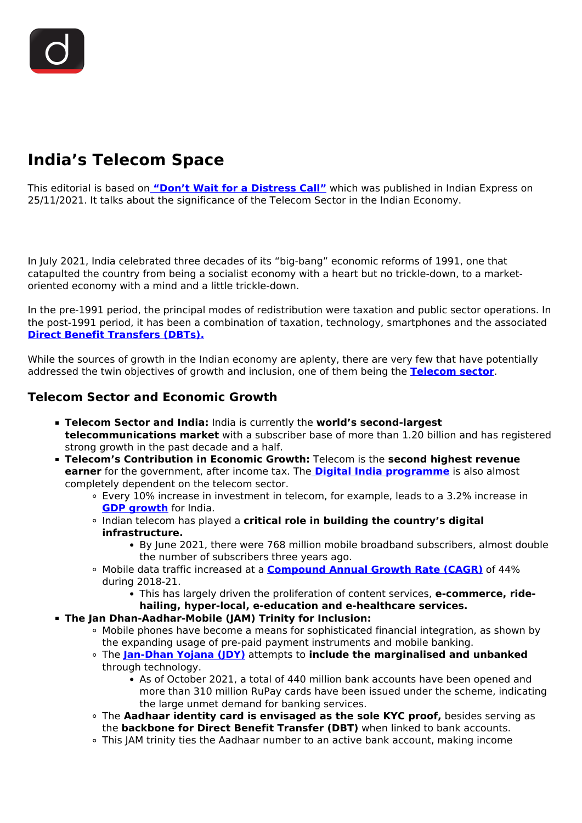# **India's Telecom Space**

This editorial is based on **["Don't Wait for a Distress Call"](https://indianexpress.com/article/opinion/columns/growth-potential-india-telecom-space-7639938/)** which was published in Indian Express on 25/11/2021. It talks about the significance of the Telecom Sector in the Indian Economy.

In July 2021, India celebrated three decades of its "big-bang" economic reforms of 1991, one that catapulted the country from being a socialist economy with a heart but no trickle-down, to a marketoriented economy with a mind and a little trickle-down.

In the pre-1991 period, the principal modes of redistribution were taxation and public sector operations. In the post-1991 period, it has been a combination of taxation, technology, smartphones and the associated **[Direct Benefit Transfers \(DBTs\).](/printpdf/rbi-advisory-on-direct-benefit-transfer)**

While the sources of growth in the Indian economy are aplenty, there are very few that have potentially addressed the twin objectives of growth and inclusion, one of them being the **[Telecom sector](/to-the-points/paper3/telecom-sector-issues-and-challenges)**.

### **Telecom Sector and Economic Growth**

- **Telecom Sector and India:** India is currently the **world's second-largest telecommunications market** with a subscriber base of more than 1.20 billion and has registered strong growth in the past decade and a half.
- **Telecom's Contribution in Economic Growth:** Telecom is the **second highest revenue earner** for the government, after income tax. The **[Digital India programme](/daily-updates/daily-news-analysis/six-years-of-digital-india-programme)** is also almost completely dependent on the telecom sector.
	- Every 10% increase in investment in telecom, for example, leads to a 3.2% increase in **[GDP growth](/daily-updates/daily-news-analysis/gdp-growth)** for India.
	- Indian telecom has played a **critical role in building the country's digital infrastructure.**
		- By June 2021, there were 768 million mobile broadband subscribers, almost double the number of subscribers three years ago.
	- Mobile data traffic increased at a **[Compound Annual Growth Rate \(CAGR\)](/daily-updates/daily-news-analysis/important-facts-for-prelims-29th-april-2019#:~:text=Compounded%20Annual%20Growth%20Rate%20(CAGR,seen%20over%20the%20two%20years.)** of 44% during 2018-21.
		- This has largely driven the proliferation of content services, e-commerce, ride**hailing, hyper-local, e-education and e-healthcare services.**
- **The Jan Dhan-Aadhar-Mobile (JAM) Trinity for Inclusion:**
	- Mobile phones have become a means for sophisticated financial integration, as shown by the expanding usage of pre-paid payment instruments and mobile banking.
	- The **[Jan-Dhan Yojana \(JDY\)](/daily-updates/daily-news-analysis/seven-years-of-pradhan-mantri-jan-dhan-yojana)** attempts to **include the marginalised and unbanked** through technology.
		- As of October 2021, a total of 440 million bank accounts have been opened and more than 310 million RuPay cards have been issued under the scheme, indicating the large unmet demand for banking services.
	- The **Aadhaar identity card is envisaged as the sole KYC proof,** besides serving as the **backbone for Direct Benefit Transfer (DBT)** when linked to bank accounts.
	- This JAM trinity ties the Aadhaar number to an active bank account, making income